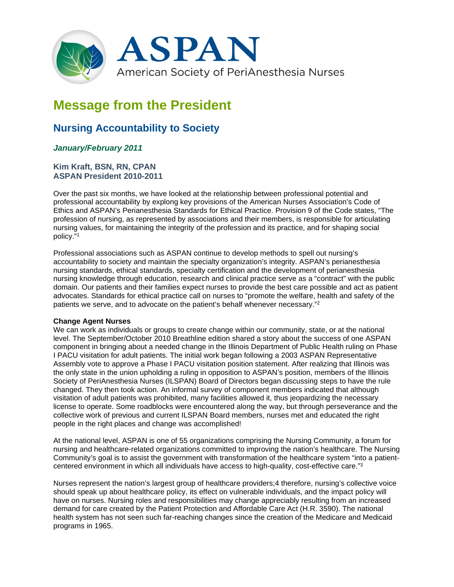

# **Message from the President**

# **Nursing Accountability to Society**

# *January/February 2011*

## **Kim Kraft, BSN, RN, CPAN ASPAN President 2010-2011**

Over the past six months, we have looked at the relationship between professional potential and professional accountability by explong key provisions of the American Nurses Association's Code of Ethics and ASPAN's Perianesthesia Standards for Ethical Practice. Provision 9 of the Code states, "The profession of nursing, as represented by associations and their members, is responsible for articulating nursing values, for maintaining the integrity of the profession and its practice, and for shaping social policy."1

Professional associations such as ASPAN continue to develop methods to spell out nursing's accountability to society and maintain the specialty organization's integrity. ASPAN's perianesthesia nursing standards, ethical standards, specialty certification and the development of perianesthesia nursing knowledge through education, research and clinical practice serve as a "contract" with the public domain. Our patients and their families expect nurses to provide the best care possible and act as patient advocates. Standards for ethical practice call on nurses to "promote the welfare, health and safety of the patients we serve, and to advocate on the patient's behalf whenever necessary."2

#### **Change Agent Nurses**

We can work as individuals or groups to create change within our community, state, or at the national level. The September/October 2010 Breathline edition shared a story about the success of one ASPAN component in bringing about a needed change in the Illinois Department of Public Health ruling on Phase I PACU visitation for adult patients. The initial work began following a 2003 ASPAN Representative Assembly vote to approve a Phase I PACU visitation position statement. After realizing that Illinois was the only state in the union upholding a ruling in opposition to ASPAN's position, members of the Illinois Society of PeriAnesthesia Nurses (ILSPAN) Board of Directors began discussing steps to have the rule changed. They then took action. An informal survey of component members indicated that although visitation of adult patients was prohibited, many facilities allowed it, thus jeopardizing the necessary license to operate. Some roadblocks were encountered along the way, but through perseverance and the collective work of previous and current ILSPAN Board members, nurses met and educated the right people in the right places and change was accomplished!

At the national level, ASPAN is one of 55 organizations comprising the Nursing Community, a forum for nursing and healthcare-related organizations committed to improving the nation's healthcare. The Nursing Community's goal is to assist the government with transformation of the healthcare system "into a patientcentered environment in which all individuals have access to high-quality, cost-effective care."3

Nurses represent the nation's largest group of healthcare providers;4 therefore, nursing's collective voice should speak up about healthcare policy, its effect on vulnerable individuals, and the impact policy will have on nurses. Nursing roles and responsibilities may change appreciably resulting from an increased demand for care created by the Patient Protection and Affordable Care Act (H.R. 3590). The national health system has not seen such far-reaching changes since the creation of the Medicare and Medicaid programs in 1965.